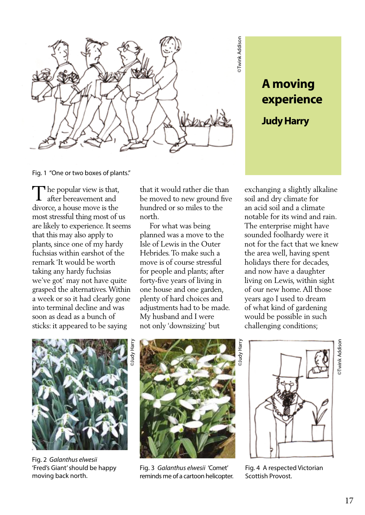

**experience**

**Judy Harry**

Fig. 1 "One or two boxes of plants."

The popular view is that,<br>after bereavement and after bereavement and divorce, a house move is the most stressful thing most of us are likely to experience. It seems that this may also apply to plants, since one of my hardy fuchsias within earshot of the remark 'It would be worth taking any hardy fuchsias we've got' may not have quite grasped the alternatives. Within a week or so it had clearly gone into terminal decline and was soon as dead as a bunch of sticks: it appeared to be saying

that it would rather die than be moved to new ground five hundred or so miles to the north.

 For what was being planned was a move to the Isle of Lewis in the Outer Hebrides. To make such a move is of course stressful for people and plants; after forty-five years of living in one house and one garden, plenty of hard choices and adjustments had to be made. My husband and I were not only 'downsizing' but

**A moving**<br> **experience**<br> **Judy Harry**<br> **Moview Harry**<br> **Moview Harry**<br> **Moview Harry**<br> **COM**<br> **EXECT AN SWAD and rainter-**<br>
Interprise might have<br>
ted foolhardy were it<br>
on Lewis, within sight<br>
on Lewis, within sight<br>
on exchanging a slightly alkaline soil and dry climate for an acid soil and a climate notable for its wind and rain. The enterprise might have sounded foolhardy were it not for the fact that we knew the area well, having spent holidays there for decades, and now have a daughter living on Lewis, within sight of our new home. All those years ago I used to dream of what kind of gardening would be possible in such challenging conditions;



Fig. 2 *Galanthus elwesii*  'Fred's Giant' should be happy moving back north.



Fig. 3 *Galanthus elwesii* 'Comet' reminds me of a cartoon helicopter.



Fig. 4 A respected Victorian Scottish Provost.

©Twink Addison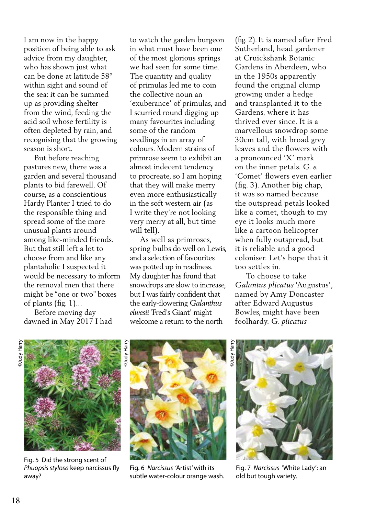I am now in the happy position of being able to ask advice from my daughter, who has shown just what can be done at latitude 58° within sight and sound of the sea: it can be summed up as providing shelter from the wind, feeding the acid soil whose fertility is often depleted by rain, and recognising that the growing season is short.

 But before reaching pastures new, there was a garden and several thousand plants to bid farewell. Of course, as a conscientious Hardy Planter I tried to do the responsible thing and spread some of the more unusual plants around among like-minded friends. But that still left a lot to choose from and like any plantaholic I suspected it would be necessary to inform the removal men that there might be "one or two" boxes of plants (fig. 1)...

 Before moving day dawned in May 2017 I had to watch the garden burgeon in what must have been one of the most glorious springs we had seen for some time. The quantity and quality of primulas led me to coin the collective noun an 'exuberance' of primulas, and I scurried round digging up many favourites including some of the random seedlings in an array of colours. Modern strains of primrose seem to exhibit an almost indecent tendency to procreate, so I am hoping that they will make merry even more enthusiastically in the soft western air (as I write they're not looking very merry at all, but time will tell).

 As well as primroses, spring bulbs do well on Lewis, and a selection of favourites was potted up in readiness. My daughter has found that snowdrops are slow to increase, but I was fairly confident that the early-flowering *Galanthus elwesii* 'Fred's Giant' might welcome a return to the north

(fig. 2). It is named after Fred Sutherland, head gardener at Cruickshank Botanic Gardens in Aberdeen, who in the 1950s apparently found the original clump growing under a hedge and transplanted it to the Gardens, where it has thrived ever since. It is a marvellous snowdrop some 30cm tall, with broad grey leaves and the flowers with a pronounced 'X' mark on the inner petals. *G. e.*  'Comet' flowers even earlier (fig. 3). Another big chap, it was so named because the outspread petals looked like a comet, though to my eye it looks much more like a cartoon helicopter when fully outspread, but it is reliable and a good coloniser. Let's hope that it too settles in.

To choose to take *Galantus plicatus* 'Augustus', named by Amy Doncaster after Edward Augustus Bowles, might have been foolhardy. *G. plicatus*



Fig. 5 Did the strong scent of *Phuopsis stylosa* keep narcissus fly away?



Fig. 6 *Narcissus* 'Artist' with its subtle water-colour orange wash.



Fig. 7 *Narcissus* 'White Lady': an old but tough variety.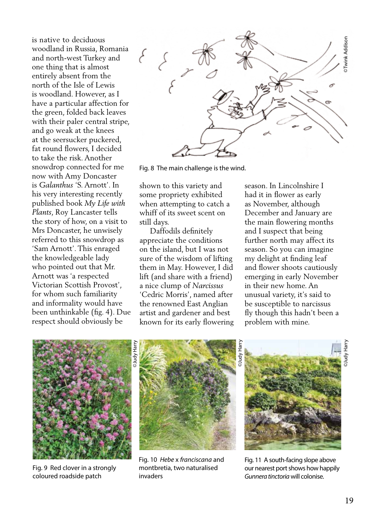is native to deciduous woodland in Russia, Romania and north-west Turkey and one thing that is almost entirely absent from the north of the Isle of Lewis is woodland. However, as I have a particular affection for the green, folded back leaves with their paler central stripe, and go weak at the knees at the seersucker puckered, fat round flowers, I decided to take the risk. Another snowdrop connected for me now with Amy Doncaster is *Galanthus* 'S. Arnott'. In his very interesting recently published book *My Life with Plants*, Roy Lancaster tells the story of how, on a visit to Mrs Doncaster, he unwisely referred to this snowdrop as 'Sam Arnott'. This enraged the knowledgeable lady who pointed out that Mr. Arnott was 'a respected Victorian Scottish Provost', for whom such familiarity and informality would have been unthinkable (fig. 4). Due respect should obviously be



Fig. 8 The main challenge is the wind.

shown to this variety and some propriety exhibited when attempting to catch a whiff of its sweet scent on still days.

 Daffodils definitely appreciate the conditions on the island, but I was not sure of the wisdom of lifting them in May. However, I did lift (and share with a friend) a nice clump of *Narcissus* 'Cedric Morris', named after the renowned East Anglian artist and gardener and best known for its early flowering season. In Lincolnshire I had it in flower as early as November, although December and January are the main flowering months and I suspect that being further north may affect its season. So you can imagine my delight at finding leaf and flower shoots cautiously emerging in early November in their new home. An unusual variety, it's said to be susceptible to narcissus fly though this hadn't been a problem with mine.



Fig. 9 Red clover in a strongly coloured roadside patch



Fig. 10 *Hebe* x *franciscana* and montbretia, two naturalised invaders



Fig. 11 A south-facing slope above our nearest port shows how happily *Gunnera tinctoria* will colonise.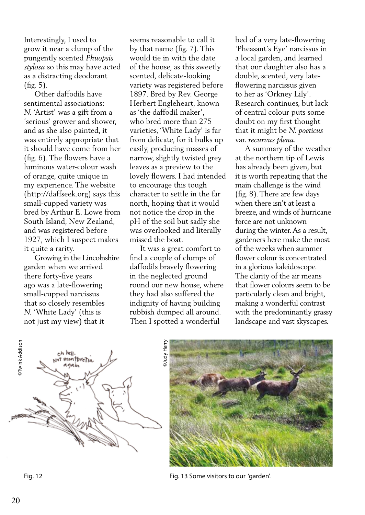Interestingly, I used to grow it near a clump of the pungently scented *Phuopsis stylosa* so this may have acted as a distracting deodorant (fig. 5).

 Other daffodils have sentimental associations: *N.* 'Artist' was a gift from a 'serious' grower and shower, and as she also painted, it was entirely appropriate that it should have come from her (fig. 6). The flowers have a luminous water-colour wash of orange, quite unique in my experience. The website (http://daffseek.org) says this small-cupped variety was bred by Arthur E. Lowe from South Island, New Zealand, and was registered before 1927, which I suspect makes it quite a rarity.

 Growing in the Lincolnshire garden when we arrived there forty-five years ago was a late-flowering small-cupped narcissus that so closely resembles *N.* 'White Lady' (this is not just my view) that it

seems reasonable to call it by that name (fig. 7). This would tie in with the date of the house, as this sweetly scented, delicate-looking variety was registered before 1897. Bred by Rev. George Herbert Engleheart, known as 'the daffodil maker', who bred more than 275 varieties, 'White Lady' is far from delicate, for it bulks up easily, producing masses of narrow, slightly twisted grey leaves as a preview to the lovely flowers. I had intended to encourage this tough character to settle in the far north, hoping that it would not notice the drop in the pH of the soil but sadly she was overlooked and literally missed the boat.

 It was a great comfort to find a couple of clumps of daffodils bravely flowering in the neglected ground round our new house, where they had also suffered the indignity of having building rubbish dumped all around. Then I spotted a wonderful

bed of a very late-flowering 'Pheasant's Eye' narcissus in a local garden, and learned that our daughter also has a double, scented, very lateflowering narcissus given to her as 'Orkney Lily'. Research continues, but lack of central colour puts some doubt on my first thought that it might be *N. poeticus* var. *recurvus plena*.

 A summary of the weather at the northern tip of Lewis has already been given, but it is worth repeating that the main challenge is the wind (fig. 8). There are few days when there isn't at least a breeze, and winds of hurricane force are not unknown during the winter. As a result, gardeners here make the most of the weeks when summer flower colour is concentrated in a glorious kaleidoscope. The clarity of the air means that flower colours seem to be particularly clean and bright, making a wonderful contrast with the predominantly grassy landscape and vast skyscapes.



Fig. 12 Fig. 13 Some visitors to our 'garden'.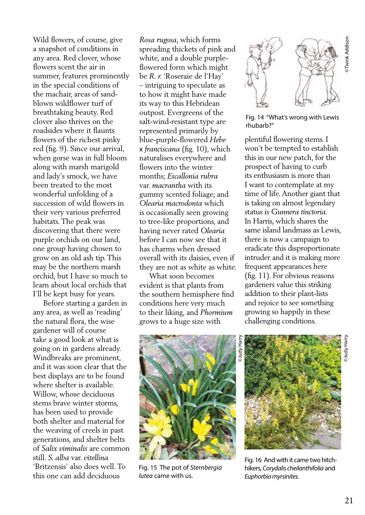Wild flowers, of course, give a snapshot of conditions in any area. Red clover, whose flowers scent the air in summer, features prominently in the special conditions of the machair, areas of sandblown wildflower turf of breathtaking beauty. Red clover also thrives on the roadsides where it flaunts flowers of the richest pinky red (fig. 9). Since our arrival, when gorse was in full bloom along with marsh marigold and lady's smock, we have been treated to the most wonderful unfolding of a succession of wild flowers in their very various preferred habitats. The peak was discovering that there were purple orchids on our land, one group having chosen to grow on an old ash tip. This may be the northern marsh orchid, but I have so much to learn about local orchids that I'll be kept busy for years.

 Before starting a garden in any area, as well as 'reading' the natural flora, the wise gardener will of course take a good look at what is going on in gardens already. Windbreaks are prominent, and it was soon clear that the best displays are to be found where shelter is available. Willow, whose deciduous stems brave winter storms, has been used to provide both shelter and material for the weaving of creels in past generations, and shelter belts of *Salix viminalis* are common still. *S. alba* var. *vitellina* 'Britzensis' also does well. To this one can add deciduous

*Rosa rugosa*, which forms spreading thickets of pink and white, and a double purpleflowered form which might be *R. r.* 'Roseraie de l'Hay' – intriguing to speculate as to how it might have made its way to this Hebridean outpost. Evergreens of the salt-wind-resistant type are represented primarily by blue-purple-flowered *Hebe* x *franciscana* (fig. 10), which naturalises everywhere and flowers into the winter months; *Escallonia rubra*  var. *macrantha* with its gummy scented foliage; and *Olearia macrodonta* which is occasionally seen growing to tree-like proportions, and having never rated *Olearia*  before I can now see that it has charms when dressed overall with its daisies, even if they are not as white as white.

 What soon becomes evident is that plants from the southern hemisphere find conditions here very much to their liking, and *Phormium*  grows to a huge size with



Fig. 14 "What's wrong with Lewis rhubarb?"

plentiful flowering stems. I won't be tempted to establish this in our new patch, for the prospect of having to curb its enthusiasm is more than I want to contemplate at my time of life. Another giant that is taking on almost legendary status is *Gunnera tinctoria*. In Harris, which shares the same island landmass as Lewis, there is now a campaign to eradicate this disproportionate intruder and it is making more frequent appearances here (fig. 11). For obvious reasons gardeners value this striking addition to their plant-lists and rejoice to see something growing so happily in these challenging conditions.



Fig. 15 The pot of *Sternbergia lutea* came with us.



Fig. 16 And with it came two hitchhikers, *Corydalis cheilanthifolia* and *Euphorbia myrsinites.*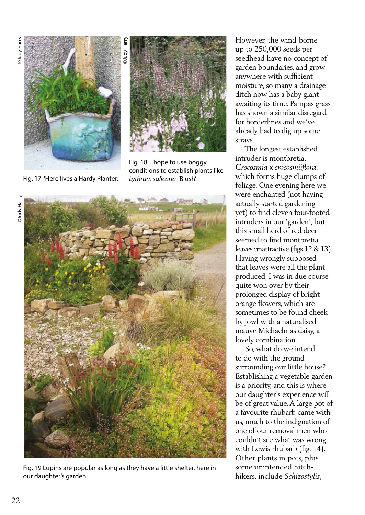





Fig. 18 I hope to use boggy conditions to establish plants like *Lythrum salicaria* 'Blush'.

226 ©Judy Harry ©Judy Harry OJudy Harry



Fig. 19 Lupins are popular as long as they have a little shelter, here in our daughter's garden.

However, the wind-borne up to 250,000 seeds per seedhead have no concept of garden boundaries, and grow anywhere with sufficient moisture, so many a drainage ditch now has a baby giant awaiting its time. Pampas grass has shown a similar disregard for borderlines and we've already had to dig up some strays.

 The longest established intruder is montbretia, *Crocosmia* x *crocosmiiflora*, which forms huge clumps of foliage. One evening here we were enchanted (not having actually started gardening yet) to find eleven four-footed intruders in our 'garden', but this small herd of red deer seemed to find montbretia leaves unattractive (figs 12 & 13). Having wrongly supposed that leaves were all the plant produced, I was in due course quite won over by their prolonged display of bright orange flowers, which are sometimes to be found cheek by jowl with a naturalised mauve Michaelmas daisy, a lovely combination.

 So, what do we intend to do with the ground surrounding our little house? Establishing a vegetable garden is a priority, and this is where our daughter's experience will be of great value. A large pot of a favourite rhubarb came with us, much to the indignation of one of our removal men who couldn't see what was wrong with Lewis rhubarb (fig. 14). Other plants in pots, plus some unintended hitchhikers, include *Schizostylis*,